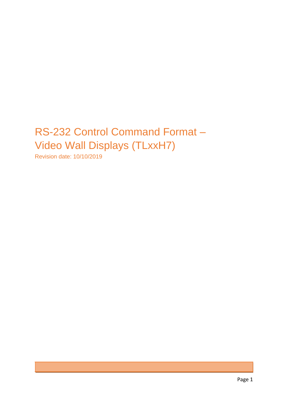# RS-232 Control Command Format – Video Wall Displays (TLxxH7)

Revision date: 10/10/2019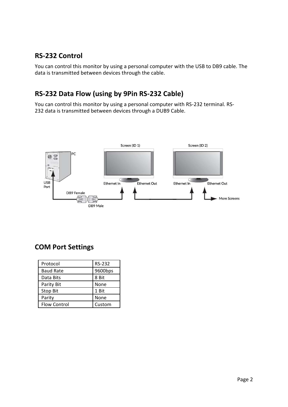### **RS-232 Control**

You can control this monitor by using a personal computer with the USB to DB9 cable. The data is transmitted between devices through the cable.

# **RS-232 Data Flow (using by 9Pin RS-232 Cable)**

You can control this monitor by using a personal computer with RS-232 terminal. RS-232 data is transmitted between devices through a DUB9 Cable.



#### **COM Port Settings**

| Protocol            | <b>RS-232</b> |
|---------------------|---------------|
| <b>Baud Rate</b>    | 9600bps       |
| Data Bits           | 8 Bit         |
| Parity Bit          | None          |
| <b>Stop Bit</b>     | 1 Bit         |
| Parity              | None          |
| <b>Flow Control</b> | Custom        |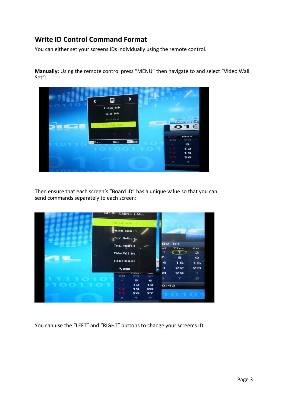#### **Write ID Control Command Format**

You can either set your screens IDs individually using the remote control.

**Manually:** Using the remote control press "MENU" then navigate to and select "Video Wall Set":



Then ensure that each screen's "Board ID" has a unique value so that you can send commands separately to each screen:



You can use the "LEFT" and "RIGHT" buttons to change your screen's ID.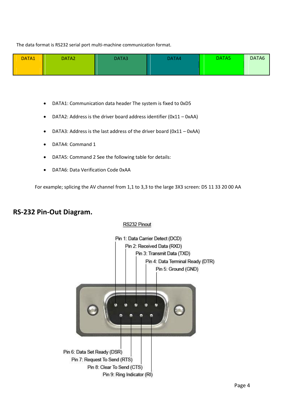The data format is RS232 serial port multi-machine communication format.

| DATA1 | DATA <sub>2</sub> | DATA3 | DATA4 | DATA5 | DATA6 |
|-------|-------------------|-------|-------|-------|-------|
|       |                   |       |       |       |       |

- DATA1: Communication data header The system is fixed to 0xD5
- DATA2: Address is the driver board address identifier (0x11 0xAA)
- DATA3: Address is the last address of the driver board (0x11 0xAA)
- DATA4: Command 1
- DATA5: Command 2 See the following table for details:
- DATA6: Data Verification Code 0xAA

For example; splicing the AV channel from 1,1 to 3,3 to the large 3X3 screen: D5 11 33 20 00 AA

#### **RS-232 Pin-Out Diagram.**

#### RS232 Pinout

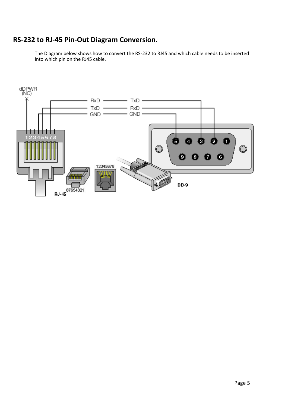# **RS-232 to RJ-45 Pin-Out Diagram Conversion.**

The Diagram below shows how to convert the RS-232 to RJ45 and which cable needs to be inserted into which pin on the RJ45 cable.

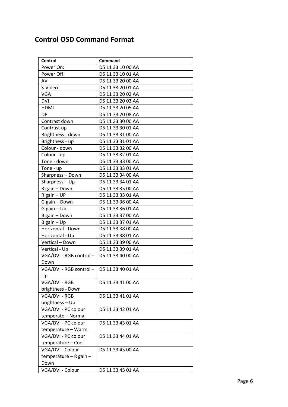## **Control OSD Command Format**

| Control                     | Command           |
|-----------------------------|-------------------|
| Power On:                   | D5 11 33 10 00 AA |
| Power Off:                  | D5 11 33 10 01 AA |
| AV                          | D5 11 33 20 00 AA |
| S-Video                     | D5 11 33 20 01 AA |
| <b>VGA</b>                  | D5 11 33 20 02 AA |
| <b>DVI</b>                  | D5 11 33 20 03 AA |
| <b>HDMI</b>                 | D5 11 33 20 05 AA |
| <b>DP</b>                   | D5 11 33 20 08 AA |
| Contrast down               | D5 11 33 30 00 AA |
| Contrast up                 | D5 11 33 30 01 AA |
| Brightness - down           | D5 11 33 31 00 AA |
| Brightness - up             | D5 11 33 31 01 AA |
| Colour - down               | D5 11 33 32 00 AA |
| Colour - up                 | D5 11 33 32 01 AA |
| Tone - down                 | D5 11 33 33 00 AA |
| Tone - up                   | D5 11 33 33 01 AA |
| Sharpness - Down            | D5 11 33 34 00 AA |
| Sharpness - Up              | D5 11 33 34 01 AA |
| R gain - Down               | D5 11 33 35 00 AA |
| R gain - UP                 | D5 11 33 35 01 AA |
| G gain - Down               | D5 11 33 36 00 AA |
| G gain $-$ Up               | D5 11 33 36 01 AA |
| B gain - Down               | D5 11 33 37 00 AA |
| $B$ gain $-\underline{Up}$  | D5 11 33 37 01 AA |
| Horizontal - Down           | D5 11 33 38 00 AA |
| Horizontal - Up             | D5 11 33 38 01 AA |
| Vertical - Down             | D5 11 33 39 00 AA |
| Vertical - Up               | D5 11 33 39 01 AA |
| VGA/DVI - RGB control -     | D5 11 33 40 00 AA |
| Down                        |                   |
| $VGA/DVI - RGB control -  $ | D5 11 33 40 01 AA |
| Up                          |                   |
| VGA/DVI - RGB               | D5 11 33 41 00 AA |
| brightness - Down           |                   |
| VGA/DVI - RGB               | D5 11 33 41 01 AA |
| brightness - Up             |                   |
| VGA/DVI - PC colour         | D5 11 33 42 01 AA |
| temperate - Normal          |                   |
| VGA/DVI - PC colour         | D5 11 33 43 01 AA |
| temperature - Warm          |                   |
| VGA/DVI - PC colour         | D5 11 33 44 01 AA |
| temperature - Cool          |                   |
| VGA/DVI - Colour            | D5 11 33 45 00 AA |
| temperature $-$ R gain $-$  |                   |
| Down                        |                   |
| VGA/DVI - Colour            | D5 11 33 45 01 AA |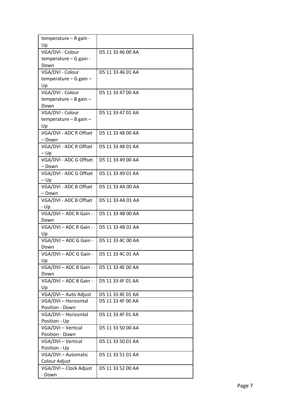| Up<br>VGA/DVI - Colour<br>D5 11 33 46 00 AA<br>temperature - G gain -<br>Down<br>VGA/DVI - Colour<br>D5 11 33 46 01 AA<br>temperature - G gain -<br>Up<br>VGA/DVI - Colour<br>D5 11 33 47 00 AA<br>temperature - B gain -<br>Down<br>VGA/DVI - Colour<br>D5 11 33 47 01 AA<br>$temperature - B gain -$<br>Up<br>VGA/DVI - ADC R Offset<br>D5 11 33 48 00 AA<br>- Down<br>VGA/DVI - ADC R Offset<br>D5 11 33 48 01 AA<br>$-\mathsf{Up}$<br>VGA/DVI - ADC G Offset<br>D5 11 33 49 00 AA<br>- Down<br>VGA/DVI - ADC G Offset<br>D5 11 33 49 01 AA<br>$-\mathsf{Up}$<br>VGA/DVI - ADC B Offset<br>D5 11 33 4A 00 AA<br>- Down<br>VGA/DVI - ADC B Offset<br>D5 11 33 4A 01 AA<br>- Up<br>VGA/DVI - ADC R Gain -<br>D5 11 33 4B 00 AA<br>Down<br>VGA/DVI - ADC R Gain -<br>D5 11 33 4B 01 AA<br>Up<br>VGA/DVI - ADC G Gain -<br>D5 11 33 4C 00 AA<br>Down<br>VGA/DVI - ADC G Gain -<br>D5 11 33 4C 01 AA<br>Up<br>VGA/DVI - ADC B Gain -<br>D5 11 33 4E 00 AA<br>Down<br>VGA/DVI - ADC B Gain -<br>D5 11 33 4F 01 AA<br>Up<br>VGA/DVI - Auto Adjust<br>D5 11 33 4E 01 AA<br>D5 11 33 4F 00 AA<br>VGA/DVI - Horizontal<br>Position - Down<br>VGA/DVI - Horizontal<br>D5 11 33 4F 01 AA<br>Position - Up<br>VGA/DVI - Vertical<br>D5 11 33 50 00 AA<br>Position - Down<br>VGA/DVI - Vertical<br>D5 11 33 50 01 AA<br>Position - Up<br>VGA/DVI - Automatic<br>D5 11 33 51 01 AA<br>Colour Adjust<br>VGA/DVI - Clock Adjust<br>D5 11 33 52 00 AA | temperature - R gain - |  |
|----------------------------------------------------------------------------------------------------------------------------------------------------------------------------------------------------------------------------------------------------------------------------------------------------------------------------------------------------------------------------------------------------------------------------------------------------------------------------------------------------------------------------------------------------------------------------------------------------------------------------------------------------------------------------------------------------------------------------------------------------------------------------------------------------------------------------------------------------------------------------------------------------------------------------------------------------------------------------------------------------------------------------------------------------------------------------------------------------------------------------------------------------------------------------------------------------------------------------------------------------------------------------------------------------------------------------------------------------------------------------------------------------------------------------------------|------------------------|--|
|                                                                                                                                                                                                                                                                                                                                                                                                                                                                                                                                                                                                                                                                                                                                                                                                                                                                                                                                                                                                                                                                                                                                                                                                                                                                                                                                                                                                                                        |                        |  |
|                                                                                                                                                                                                                                                                                                                                                                                                                                                                                                                                                                                                                                                                                                                                                                                                                                                                                                                                                                                                                                                                                                                                                                                                                                                                                                                                                                                                                                        |                        |  |
|                                                                                                                                                                                                                                                                                                                                                                                                                                                                                                                                                                                                                                                                                                                                                                                                                                                                                                                                                                                                                                                                                                                                                                                                                                                                                                                                                                                                                                        |                        |  |
|                                                                                                                                                                                                                                                                                                                                                                                                                                                                                                                                                                                                                                                                                                                                                                                                                                                                                                                                                                                                                                                                                                                                                                                                                                                                                                                                                                                                                                        |                        |  |
|                                                                                                                                                                                                                                                                                                                                                                                                                                                                                                                                                                                                                                                                                                                                                                                                                                                                                                                                                                                                                                                                                                                                                                                                                                                                                                                                                                                                                                        |                        |  |
|                                                                                                                                                                                                                                                                                                                                                                                                                                                                                                                                                                                                                                                                                                                                                                                                                                                                                                                                                                                                                                                                                                                                                                                                                                                                                                                                                                                                                                        |                        |  |
|                                                                                                                                                                                                                                                                                                                                                                                                                                                                                                                                                                                                                                                                                                                                                                                                                                                                                                                                                                                                                                                                                                                                                                                                                                                                                                                                                                                                                                        |                        |  |
|                                                                                                                                                                                                                                                                                                                                                                                                                                                                                                                                                                                                                                                                                                                                                                                                                                                                                                                                                                                                                                                                                                                                                                                                                                                                                                                                                                                                                                        |                        |  |
|                                                                                                                                                                                                                                                                                                                                                                                                                                                                                                                                                                                                                                                                                                                                                                                                                                                                                                                                                                                                                                                                                                                                                                                                                                                                                                                                                                                                                                        |                        |  |
|                                                                                                                                                                                                                                                                                                                                                                                                                                                                                                                                                                                                                                                                                                                                                                                                                                                                                                                                                                                                                                                                                                                                                                                                                                                                                                                                                                                                                                        |                        |  |
|                                                                                                                                                                                                                                                                                                                                                                                                                                                                                                                                                                                                                                                                                                                                                                                                                                                                                                                                                                                                                                                                                                                                                                                                                                                                                                                                                                                                                                        |                        |  |
|                                                                                                                                                                                                                                                                                                                                                                                                                                                                                                                                                                                                                                                                                                                                                                                                                                                                                                                                                                                                                                                                                                                                                                                                                                                                                                                                                                                                                                        |                        |  |
|                                                                                                                                                                                                                                                                                                                                                                                                                                                                                                                                                                                                                                                                                                                                                                                                                                                                                                                                                                                                                                                                                                                                                                                                                                                                                                                                                                                                                                        |                        |  |
|                                                                                                                                                                                                                                                                                                                                                                                                                                                                                                                                                                                                                                                                                                                                                                                                                                                                                                                                                                                                                                                                                                                                                                                                                                                                                                                                                                                                                                        |                        |  |
|                                                                                                                                                                                                                                                                                                                                                                                                                                                                                                                                                                                                                                                                                                                                                                                                                                                                                                                                                                                                                                                                                                                                                                                                                                                                                                                                                                                                                                        |                        |  |
|                                                                                                                                                                                                                                                                                                                                                                                                                                                                                                                                                                                                                                                                                                                                                                                                                                                                                                                                                                                                                                                                                                                                                                                                                                                                                                                                                                                                                                        |                        |  |
|                                                                                                                                                                                                                                                                                                                                                                                                                                                                                                                                                                                                                                                                                                                                                                                                                                                                                                                                                                                                                                                                                                                                                                                                                                                                                                                                                                                                                                        |                        |  |
|                                                                                                                                                                                                                                                                                                                                                                                                                                                                                                                                                                                                                                                                                                                                                                                                                                                                                                                                                                                                                                                                                                                                                                                                                                                                                                                                                                                                                                        |                        |  |
|                                                                                                                                                                                                                                                                                                                                                                                                                                                                                                                                                                                                                                                                                                                                                                                                                                                                                                                                                                                                                                                                                                                                                                                                                                                                                                                                                                                                                                        |                        |  |
|                                                                                                                                                                                                                                                                                                                                                                                                                                                                                                                                                                                                                                                                                                                                                                                                                                                                                                                                                                                                                                                                                                                                                                                                                                                                                                                                                                                                                                        |                        |  |
|                                                                                                                                                                                                                                                                                                                                                                                                                                                                                                                                                                                                                                                                                                                                                                                                                                                                                                                                                                                                                                                                                                                                                                                                                                                                                                                                                                                                                                        |                        |  |
|                                                                                                                                                                                                                                                                                                                                                                                                                                                                                                                                                                                                                                                                                                                                                                                                                                                                                                                                                                                                                                                                                                                                                                                                                                                                                                                                                                                                                                        |                        |  |
|                                                                                                                                                                                                                                                                                                                                                                                                                                                                                                                                                                                                                                                                                                                                                                                                                                                                                                                                                                                                                                                                                                                                                                                                                                                                                                                                                                                                                                        |                        |  |
|                                                                                                                                                                                                                                                                                                                                                                                                                                                                                                                                                                                                                                                                                                                                                                                                                                                                                                                                                                                                                                                                                                                                                                                                                                                                                                                                                                                                                                        |                        |  |
|                                                                                                                                                                                                                                                                                                                                                                                                                                                                                                                                                                                                                                                                                                                                                                                                                                                                                                                                                                                                                                                                                                                                                                                                                                                                                                                                                                                                                                        |                        |  |
|                                                                                                                                                                                                                                                                                                                                                                                                                                                                                                                                                                                                                                                                                                                                                                                                                                                                                                                                                                                                                                                                                                                                                                                                                                                                                                                                                                                                                                        |                        |  |
|                                                                                                                                                                                                                                                                                                                                                                                                                                                                                                                                                                                                                                                                                                                                                                                                                                                                                                                                                                                                                                                                                                                                                                                                                                                                                                                                                                                                                                        |                        |  |
|                                                                                                                                                                                                                                                                                                                                                                                                                                                                                                                                                                                                                                                                                                                                                                                                                                                                                                                                                                                                                                                                                                                                                                                                                                                                                                                                                                                                                                        |                        |  |
|                                                                                                                                                                                                                                                                                                                                                                                                                                                                                                                                                                                                                                                                                                                                                                                                                                                                                                                                                                                                                                                                                                                                                                                                                                                                                                                                                                                                                                        |                        |  |
|                                                                                                                                                                                                                                                                                                                                                                                                                                                                                                                                                                                                                                                                                                                                                                                                                                                                                                                                                                                                                                                                                                                                                                                                                                                                                                                                                                                                                                        |                        |  |
|                                                                                                                                                                                                                                                                                                                                                                                                                                                                                                                                                                                                                                                                                                                                                                                                                                                                                                                                                                                                                                                                                                                                                                                                                                                                                                                                                                                                                                        |                        |  |
|                                                                                                                                                                                                                                                                                                                                                                                                                                                                                                                                                                                                                                                                                                                                                                                                                                                                                                                                                                                                                                                                                                                                                                                                                                                                                                                                                                                                                                        |                        |  |
|                                                                                                                                                                                                                                                                                                                                                                                                                                                                                                                                                                                                                                                                                                                                                                                                                                                                                                                                                                                                                                                                                                                                                                                                                                                                                                                                                                                                                                        |                        |  |
|                                                                                                                                                                                                                                                                                                                                                                                                                                                                                                                                                                                                                                                                                                                                                                                                                                                                                                                                                                                                                                                                                                                                                                                                                                                                                                                                                                                                                                        |                        |  |
|                                                                                                                                                                                                                                                                                                                                                                                                                                                                                                                                                                                                                                                                                                                                                                                                                                                                                                                                                                                                                                                                                                                                                                                                                                                                                                                                                                                                                                        |                        |  |
|                                                                                                                                                                                                                                                                                                                                                                                                                                                                                                                                                                                                                                                                                                                                                                                                                                                                                                                                                                                                                                                                                                                                                                                                                                                                                                                                                                                                                                        |                        |  |
|                                                                                                                                                                                                                                                                                                                                                                                                                                                                                                                                                                                                                                                                                                                                                                                                                                                                                                                                                                                                                                                                                                                                                                                                                                                                                                                                                                                                                                        |                        |  |
|                                                                                                                                                                                                                                                                                                                                                                                                                                                                                                                                                                                                                                                                                                                                                                                                                                                                                                                                                                                                                                                                                                                                                                                                                                                                                                                                                                                                                                        |                        |  |
|                                                                                                                                                                                                                                                                                                                                                                                                                                                                                                                                                                                                                                                                                                                                                                                                                                                                                                                                                                                                                                                                                                                                                                                                                                                                                                                                                                                                                                        |                        |  |
|                                                                                                                                                                                                                                                                                                                                                                                                                                                                                                                                                                                                                                                                                                                                                                                                                                                                                                                                                                                                                                                                                                                                                                                                                                                                                                                                                                                                                                        |                        |  |
|                                                                                                                                                                                                                                                                                                                                                                                                                                                                                                                                                                                                                                                                                                                                                                                                                                                                                                                                                                                                                                                                                                                                                                                                                                                                                                                                                                                                                                        |                        |  |
|                                                                                                                                                                                                                                                                                                                                                                                                                                                                                                                                                                                                                                                                                                                                                                                                                                                                                                                                                                                                                                                                                                                                                                                                                                                                                                                                                                                                                                        |                        |  |
|                                                                                                                                                                                                                                                                                                                                                                                                                                                                                                                                                                                                                                                                                                                                                                                                                                                                                                                                                                                                                                                                                                                                                                                                                                                                                                                                                                                                                                        |                        |  |
|                                                                                                                                                                                                                                                                                                                                                                                                                                                                                                                                                                                                                                                                                                                                                                                                                                                                                                                                                                                                                                                                                                                                                                                                                                                                                                                                                                                                                                        |                        |  |
|                                                                                                                                                                                                                                                                                                                                                                                                                                                                                                                                                                                                                                                                                                                                                                                                                                                                                                                                                                                                                                                                                                                                                                                                                                                                                                                                                                                                                                        |                        |  |
|                                                                                                                                                                                                                                                                                                                                                                                                                                                                                                                                                                                                                                                                                                                                                                                                                                                                                                                                                                                                                                                                                                                                                                                                                                                                                                                                                                                                                                        |                        |  |
|                                                                                                                                                                                                                                                                                                                                                                                                                                                                                                                                                                                                                                                                                                                                                                                                                                                                                                                                                                                                                                                                                                                                                                                                                                                                                                                                                                                                                                        |                        |  |
|                                                                                                                                                                                                                                                                                                                                                                                                                                                                                                                                                                                                                                                                                                                                                                                                                                                                                                                                                                                                                                                                                                                                                                                                                                                                                                                                                                                                                                        |                        |  |
|                                                                                                                                                                                                                                                                                                                                                                                                                                                                                                                                                                                                                                                                                                                                                                                                                                                                                                                                                                                                                                                                                                                                                                                                                                                                                                                                                                                                                                        |                        |  |
|                                                                                                                                                                                                                                                                                                                                                                                                                                                                                                                                                                                                                                                                                                                                                                                                                                                                                                                                                                                                                                                                                                                                                                                                                                                                                                                                                                                                                                        |                        |  |
|                                                                                                                                                                                                                                                                                                                                                                                                                                                                                                                                                                                                                                                                                                                                                                                                                                                                                                                                                                                                                                                                                                                                                                                                                                                                                                                                                                                                                                        | - Down                 |  |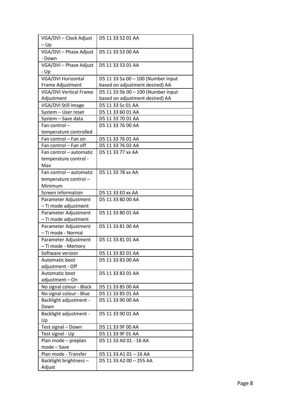| VGA/DVI - Clock Adjust           | D5 11 33 52 01 AA                  |
|----------------------------------|------------------------------------|
| $-\mathsf{Up}$                   |                                    |
| VGA/DVI - Phase Adjust<br>- Down | D5 11 33 53 00 AA                  |
| VGA/DVI - Phase Adjust           | D5 11 33 53 01 AA                  |
| - Up                             |                                    |
| <b>VGA/DVI Horizontal</b>        | D5 11 33 5a 00 - 100 (Number input |
| Frame Adjustment                 | based on adjustment desired) AA    |
| <b>VGA/DVI Vertical Frame</b>    | D5 11 33 5b 00 - 100 (Number input |
| Adjustment                       | based on adjustment desired) AA    |
| VGA/DVI Still Image              | D5 11 33 5c 01 AA                  |
| System - User reset              | D5 11 33 60 01 AA                  |
| System - Save data               | D5 11 33 70 01 AA                  |
| Fan control-                     | D5 11 33 76 00 AA                  |
| temperature controlled           |                                    |
| Fan control - Fan on             | D5 11 33 76 01 AA                  |
| Fan control - Fan off            | D5 11 33 76 02 AA                  |
| Fan control - automatic          | D5 11 33 77 xx AA                  |
| temperature control -            |                                    |
| Max                              |                                    |
| Fan control - automatic          | D5 11 33 78 xx AA                  |
| temperature control-             |                                    |
| Minimum                          |                                    |
| Screen information               | D5 11 33 E0 xx AA                  |
| Parameter Adjustment             | D5 11 33 80 00 AA                  |
| - Ti mode adjustment             |                                    |
| Parameter Adjustment             | D5 11 33 80 01 AA                  |
| - Ti mode adjustment             |                                    |
| Parameter Adjustment             | D5 11 33 81 00 AA                  |
| - Ti mode - Normal               |                                    |
| Parameter Adjustment             | D5 11 33 81 01 AA                  |
| - Ti mode - Memory               |                                    |
| Software version                 | D5 11 33 82 01 AA                  |
| Automatic boot                   | D5 11 33 83 00 AA                  |
| adjustment - Off                 |                                    |
| Automatic boot                   | D5 11 33 83 01 AA                  |
| adjustment-On                    |                                    |
| No signal colour - Black         | D5 11 33 85 00 AA                  |
| No signal colour - Blue          | D5 11 33 85 01 AA                  |
| Backlight adjustment -           | D5 11 33 90 00 AA                  |
| Down                             |                                    |
| Backlight adjustment -           | D5 11 33 90 01 AA                  |
| Up                               |                                    |
| Test signal - Down               | D5 11 33 9F 00 AA                  |
| Test signal - Up                 | D5 11 33 9F 01 AA                  |
| Plan mode - preplan              | D5 11 33 A0 01 - 16 AA             |
| mode - Save                      |                                    |
| Plan mode - Transfer             | D5 11 33 A1 01 - 16 AA             |
| Backlight brightness-            | D5 11 33 A2 00 - 255 AA            |
| Adjust                           |                                    |